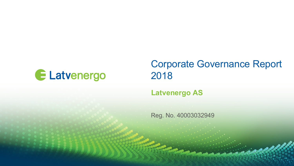

## Corporate Governance Report 2018

### **Latvenergo AS**

Reg. No. 40003032949

**Contractor**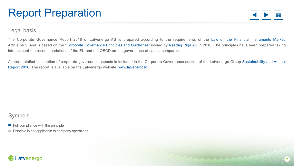# Report Preparation



#### Legal basis

The Corporate Governance Report 2018 of Latvenergo AS is prepared according to the requirements of the Law on the [Financial Instruments Market,](https://likumi.lv/ta/id/81995-finansu-instrumentu-tirgus-likums) Article 56.2, and is based on the ["Corporate Governance Principles and Guidelines](https://www.nasdaqbaltic.com/files/riga/corp_gov_May_2010_EN.pdf)" issued by [Nasdaq Riga](https://www.nasdaqbaltic.com/market/?lang=en) AS in 2010. The principles have been prepared taking into account the recommendations of the EU and the OECD on the governance of capital companies.

A [more detailed description of corporate governance aspects is included in the Corporate Governance section of the Latvenergo Group Sustainability and](https://www.latvenergo.lv/files/news/LE_sustainability_annual_report_2018.pdf) Annual Report 2018. The report is available on the Latvenergo website: [www.latvenergo.lv.](https://www.latvenergo.lv/eng/)

### Symbols

 $\blacksquare$  Full compliance with the principle

 $\blacksquare$  Principle is not applicable to company operations

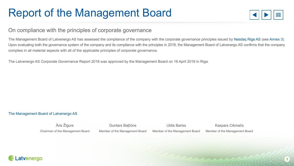# Report of the Management Board



#### On compliance with the principles of corporate governance

The Management Board of Latvenergo AS has assessed the compliance of the company with the corporate governance principles issued by [Nasdaq Riga](https://www.nasdaqbaltic.com/market/?lang=en) AS (see [Annex 3\)](#page-18-0). Upon evaluating both the governance system of the company and its compliance with the principles in 2018, the Management Board of Latvenergo AS confirms that the company complies in all material aspects with all of the applicable principles of corporate governance.

The Latvenergo AS Corporate Governance Report 2018 was approved by the Management Board on 16 April 2019 in Riga.

#### [The Management Board of Latvenergo AS](https://www.latvenergo.lv/eng/investors/corporate_governance/management_board/)

Āris Žīgurs Chairman of the Management Board Guntars Baļčūns Member of the Management Board Uldis Bariss Member of the Management Board Kaspars Cikmačs Member of the Management Board

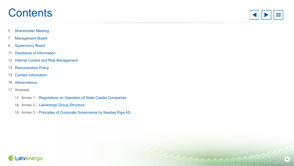## **Contents**



- [Shareholder Meeting](#page-4-0)
- [Management Board](#page-6-0)
- [Supervisory Board](#page-8-0)
- [Disclosure of Information](#page-10-0)
- [Internal Control and Risk Management](#page-11-0)
- [Remuneration Policy](#page-12-0)
- [Contact Information](#page-14-0)
- [Abbreviations](#page-15-0)
- Annexes
	- Annex 1 – [Regulations on Operation of State Capital Companies](#page-16-0)
	- Annex 2 – [Latvenergo Group Structure](#page-17-0)
	- Annex 3 – [Principles of Corporate Governance by Nasdaq Riga AS](#page-18-0)

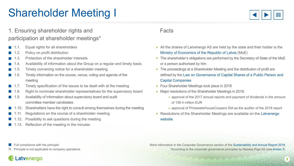# <span id="page-4-0"></span>Shareholder Meeting I



### 1. Ensuring shareholder rights and participation at shareholder meetings\*

- Equal rights for all shareholders
- 1.2. Policy on profit distribution
- 1.3. Protection of the shareholder interests
- $\blacksquare$  1.4. Availability of information about the Group on a regular and timely basis
- $\blacksquare$  1.5. Timely convening notice for a shareholder meeting
- 1.6. Timely information on the course, venue, voting and agenda of the **Contract** meeting
- $\blacksquare$  1.7. Timely specification of the issues to be dealt with at the meeting
- 1.8. Right to nominate shareholder representatives for the supervisory board
- 1.9. Availability of information about supervisory board and audit  $\sim 10^{-1}$ committee member candidates
- 1.10. Shareholders have the right to consult among themselves during the meeting
- Regulations on the course of a shareholder meeting
- 1.12. Possibility to ask questions during the meeting
- 1.13. Reflection of the meeting in the minutes

#### Facts

- All the shares of Latvenergo AS are held by the state and their holder is the [Ministry of Economics of the Republic of Latvia](https://www.em.gov.lv/en/) (MoE)
- The shareholder's obligations are performed by the Secretary of State of the MoE or a person authorised by him
- The proceedings at a Shareholder Meeting and the distribution of profit are defined by the [Law on Governance of Capital Shares of a Public Person and](https://likumi.lv/ta/en/en/id/269907-law-on-governance-of-capital-shares-of-a-public-person-and-capital-companies)  Capital Companies
- Four Shareholder Meetings took place in 2018
- Major resolutions of the Shareholder Meetings in 2018:
	- approval of the 2017 annual reports and payment of dividends in the amount of 156.4 million EUR
	- approval of PricewaterhouseCoopers SIA as the auditor of the 2018 report
- [Resolutions of the Shareholder Meetings are available on the Latvenergo](https://www.latvenergo.lv/eng/investors/corporate_governance/shareholder/) website

Principle is not applicable to company operations

More information in the Corporate Governance section of the [Sustainability and Annual Report 2018](https://www.latvenergo.lv/files/news/LE_sustainability_annual_report_2018.pdf) \*According to the corporate governance principles by Nasdaq Riga AS (see [Annex 3\)](#page-18-0)

Full compliance with the principle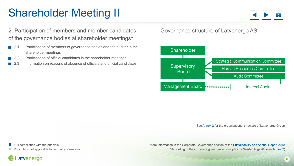# Shareholder Meeting II



2. Participation of members and member candidates of the governance bodies at shareholder meetings\*

- **2.1.** Participation of members of governance bodies and the auditor in the shareholder meetings
- 2.2. Participation of official candidates in the shareholder meetings
- 2.3. Information on reasons of absence of officials and official candidates

#### Governance structure of Latvenergo AS



See [Annex 2](#page-17-0) for the organisational structure of Latvenergo Group

Full compliance with the principle Principle is not applicable to company operations More information in the Corporate Governance section of the [Sustainability and Annual Report 2018](https://www.latvenergo.lv/files/news/LE_sustainability_annual_report_2018.pdf) \*According to the corporate governance principles by Nasdaq Riga AS (see [Annex 3\)](#page-18-0)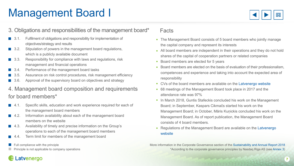# <span id="page-6-0"></span>Management Board I



#### 3. Obligations and responsibilities of the management board\*

- 3.1. Fulfilment of obligations and responsibility for implementation of objectives/strategy and results
- 3.2. Stipulation of powers in the management board regulations, which is a publicly available document
- 3.3. Responsibility for compliance with laws and regulations, risk management and financial operations
- 3.4. Performance of the management board tasks
- 3.5. Assurance on risk control procedures, risk management efficiency
- **3.6.** Approval of the supervisory board on objectives and strategy

### 4. Management board composition and requirements for board members\*

- 4.1. Specific skills, education and work experience required for each of the management board members
- **4.2.** Information availability about each of the management board members on the website
- **4.3.** Availability of timely and precise information on the Group's operations to each of the management board members
- 4.4. Term limit for members of the management board
- Full compliance with the principle
- Principle is not applicable to company operations

#### Facts

- The Management Board consists of 5 board members who jointly manage the capital company and represent its interests
- All board members are independent in their operations and they do not hold shares of the capital of cooperation partners or related companies
- Board members are elected for 5 years  $\bullet$
- Board members are elected on the basis of evaluation of their professionalism, competences and experience and taking into account the expected area of responsibility
- CVs of the board members are available on the [Latvenergo website](https://www.latvenergo.lv/eng/investors/corporate_governance/management_board/)  $\bullet$
- 68 meetings of the Management Board took place in 2017 and the attendance rate was 97%
- In March 2018, Guntis Stafeckis concluded his work on the Management Board; in September, Kaspars Cikmačs started his work on the Management Board; in October, Māris Kuņickis concluded his work on the Management Board. As of report publication, the Management Board consists of 4 board members.
- [Regulations of the Management Board are available on the Latvenergo](https://www.latvenergo.lv/eng/investors/corporate_governance/management_board/) website

More information in the Corporate Governance section of the [Sustainability and Annual Report 2018](https://www.latvenergo.lv/files/news/LE_sustainability_annual_report_2018.pdf) \*According to the corporate governance principles by Nasdaq Riga AS (see [Annex 3\)](#page-18-0)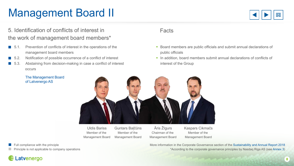# Management Board II



### 5. Identification of conflicts of interest in the work of management board members\*

- $\blacksquare$  5.1. Prevention of conflicts of interest in the operations of the management board members
- 5.2. Notification of possible occurrence of a conflict of interest
- 5.3. Abstaining from decision-making in case a conflict of interest occurs

#### Facts

- Board members are public officials and submit annual declarations of public officials
- In addition, board members submit annual declarations of conflicts of interest of the Group

More information in the Corporate Governance section of the [Sustainability and Annual Report 2018](https://www.latvenergo.lv/files/news/LE_sustainability_annual_report_2018.pdf)

\*According to the corporate governance principles by Nasdaq Riga AS (see [Annex 3\)](#page-18-0)



Uldis Bariss Member of the Management Board

Guntars Balčūns Member of the Management Board

Āris Žīgurs Chairman of the Management Board Kaspars Cikmačs Member of the Management Board

Full compliance with the principle

Principle is not applicable to company operations

[The Management Board](https://www.latvenergo.lv/eng/investors/corporate_governance/management_board/)

of Latvenergo AS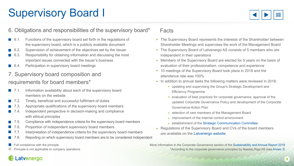# <span id="page-8-0"></span>Supervisory Board I



#### 6. Obligations and responsibilities of the supervisory board\*

- 6.1. Functions of the supervisory board set forth in the regulations of the supervisory board, which is a publicly available document
- 6.2. Supervision of achievement of the objectives set by the Issuer
- 6.3. Responsibility for obtaining information and discussing the most important issues connected with the Issuer's business
- 6.4. Participation in supervisory board meetings

### 7. Supervisory board composition and requirements for board members\*

- 7.1. Information availability about each of the supervisory board members on the website
- 7.2. Timely, beneficial and successful fulfilment of duties
- 7.3. Appropriate qualifications of the supervisory board members
- 7.4. Independent perspective in decision-making and compliance with ethical principles
- 7.5. Compliance with independence criteria for the supervisory board members
- 7.6. Proportion of independent supervisory board members
- 7.7. Interpretation of independence criteria for the supervisory board members **Contract**
- 7.8. Reporting on which supervisory board members are to be considered independent
- Full compliance with the principle
- Principle is not applicable to company operations

#### Facts

- The Supervisory Board represents the interests of the Shareholder between Shareholder Meetings and supervises the work of the Management Board
- The Supervisory Board of Latvenergo AS consists of 5 members who are independent in their operations
- Members of the Supervisory Board are elected for 5 years on the basis of evaluation of their professionalism, competence and experience
- 10 meetings of the Supervisory Board took place in 2018 and the attendance rate was 100%
- In addition to annual tasks the following matters were reviewed in 2018:
	- updating and supervising the Group's Strategic Development and Efficien cy Programme
	- evaluation of best practices for corporate governance, approval of the updated Corporate Governance Policy and development of the Corporate Governance Action Plan
	- selection of new members of the Management Board
	- improvement of the internal control environment
	- establishment of the [Strategic Communication Committee](https://www.latvenergo.lv/eng/investors/corporate_governance/strategic_communication_committee/)
- Regulations of the Supervisory Board and CVs of the board members are available on the [Latvenergo website](https://www.latvenergo.lv/eng/investors/corporate_governance/supervisory_board/)

More information in the Corporate Governance section of the [Sustainability and Annual Report 2018](https://www.latvenergo.lv/files/news/LE_sustainability_annual_report_2018.pdf) \*According to the corporate governance principles by Nasdaq Riga AS (see [Annex 3\)](#page-18-0)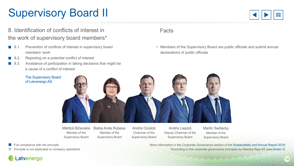# Supervisory Board II



### 8. Identification of conflicts of interest in the work of supervisory board members\*

- 8.1. Prevention of conflicts of interest in supervisory board members' work
- 8.2. Reporting on a potential conflict of interest
- 8.3. Avoidance of participation in taking decisions that might be a cause of a conflict of interest

#### Facts

Members of the Supervisory Board are public officials and submit annual declarations of public officials



Mārtiņš Bičevskis Member of the Supervisory Board

Baiba Anda Rubesa Member of the Supervisory Board

Andris Ozoliņš Chairman of the Supervisory Board

Andris Liepiņš Deputy Chairman of the Supervisory Board

Martin Sedlacky Member of the Supervisory Board

Full compliance with the principle

of Latvenergo AS

Principle is not applicable to company operations

Latvenergo

More information in the Corporate Governance section of the [Sustainability and Annual Report 2018](https://www.latvenergo.lv/files/news/LE_sustainability_annual_report_2018.pdf) \*According to the corporate governance principles by Nasdaq Riga AS (see [Annex 3\)](#page-18-0)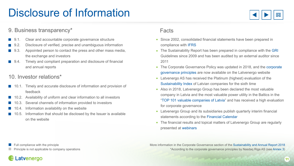# <span id="page-10-0"></span>Disclosure of Information



#### 9. Business transparency\*

- 9.1. Clear and accountable corporate governance structure
- **9.2.** Disclosure of verified, precise and unambiguous information
- 9.3. Appointed person to contact the press and other mass media, the exchange and investors
- 9.4. Timely and compliant preparation and disclosure of financial and annual reports

### 10. Investor relations\*

- 10.1. Timely and accurate disclosure of information and provision of feedback
- 10.2. Availability of uniform and clear information to all investors
- 10.3. Several channels of information provided to investors
- 10.4. Information availability on the website
- 10.5. Information that should be disclosed by the Issuer is available on the website

#### Facts

- Since 2002, consolidated financial statements have been prepared in compliance with [IFRS](https://www.ifrs.org/)
- The Sustainability Report has been prepared in compliance with the [GRI](https://www.globalreporting.org) Guidelines since 2009 and has been audited by an external auditor since 2011
- The Corporate Governance Policy was updated in 2018, and the corporate governance principles are now available on the Latvenergo website
- Latvenergo AS has received the Platinum (highest) evaluation of the [Sustainability Index](http://incsr.eu/) of Latvian companies for the sixth time
- Also in 2018, Latvenergo Group has been declared the most valuable company in Latvia and the most valuable power utility in the Baltics in the ["TOP 101 valuable companies of Latvia](http://www.top101.lv/en/top101/2018)" and has received a high evaluation for corporate governance
- Latvenergo Group and its subsidiaries publish quarterly interim financial  $\bullet$ statements according to the [Financial Calendar](https://www.latvenergo.lv/eng/investors/financial_information/financial_calendar/)
- The financial results and topical matters of Latvenergo Group are regularly presented at [webinars](https://www.latvenergo.lv/eng/investors/financial_information/presentations/)

Full compliance with the principle

Latvenergo

Principle is not applicable to company operations

More information in the Corporate Governance section of the [Sustainability and Annual Report 2018](https://www.latvenergo.lv/files/news/LE_sustainability_annual_report_2018.pdf) \*According to the corporate governance principles by Nasdaq Riga AS (see [Annex 3\)](#page-18-0)

**11**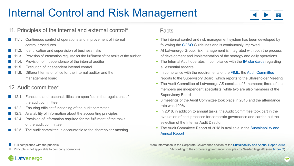# <span id="page-11-0"></span>Internal Control and Risk Management



#### 11. Principles of the internal and external control\*

- 11.1. Continuous control of operations and improvement of internal control procedures
- 11.2. Identification and supervision of business risks
- 11.3. Provision of information required for the fulfilment of the tasks of the auditor
- 11.4. Provision of independence of the internal auditor
- 11.5. Execution of independent internal control
- 11.6. Different terms of office for the internal auditor and the management board

### 12. Audit committee\*

- 12.1. Functions and responsibilities are specified in the regulations of the audit committee
- 12.2. Ensuring efficient functioning of the audit committee
- 12.3. Availability of information about the accounting principles
- 12.4. Provision of information required for the fulfilment of the tasks of the audit committee
- 12.5. The audit committee is accountable to the shareholder meeting

#### Facts

- The internal control and risk management system has been developed by following the [COSO](https://www.coso.org) Guidelines and is continuously improved
- At Latvenergo Group, risk management is integrated with both the process of development and implementation of the strategy and daily operations
- The Internal Audit operates in compliance with the [IIA standards](https://www.iia.org.uk/about-us/standards-ethics/) regarding all essential aspects
- In compliance with the requirements of the [FIML,](https://likumi.lv/ta/id/81995-finansu-instrumentu-tirgus-likums) the [Audit Committee](https://www.latvenergo.lv/eng/investors/corporate_governance/audit_committee/) reports to the Supervisory Board, which reports to the Shareholder Meeting
- The Audit Committee of Latvenergo AS consists of 5 members; three of the members are independent specialists, while two are also members of the Supervisory Board
- 6 meetings of the Audit Committee took place in 2018 and the attendance rate was 100%
- In 2018, in addition to annual tasks, the Audit Committee took part in the evaluation of best practices for corporate governance and carried out the selection of the Internal Audit Director
- [The Audit Committee Report of 2018 is available in the Sustainability and](https://www.latvenergo.lv/files/news/LE_sustainability_annual_report_2018.pdf) Annual Report

More information in the Corporate Governance section of the [Sustainability and Annual Report 2018](https://www.latvenergo.lv/files/news/LE_sustainability_annual_report_2018.pdf) \*According to the corporate governance principles by Nasdaq Riga AS (see [Annex 3\)](#page-18-0)

#### Full compliance with the principle

Principle is not applicable to company operations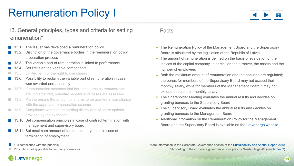# <span id="page-12-0"></span>Remuneration Policy I



### 13. General principles, types and criteria for setting remuneration\*

- 13.1. The Issuer has developed a remuneration policy
- 13.2. Distinction of the governance bodies in the remuneration policy preparation process
- 13.3. The variable part of remuneration is linked to performance
- 13.4. Set limits on the variable components
- 13.5. Limited term of the right to use shares
- 13.6. Possibility to reclaim the variable part of remuneration in case it was awarded unreasonably
- 13.7. If remuneration schemes that include shares as remuneration are implemented, potential benefits and losses are assessed
- 13.8. Plan to ensure the amount of shares to be granted in compliance with the approved remuneration scheme
- 13.9. Compliance with rules regarding distribution of share options provided by the exchange
- 13.10. Set compensation principles in case of contract termination with management and supervisory board
- 13.11. Set maximum amount of termination payments in case of termination of employment
- Full compliance with the principle
- Principle is not applicable to company operations

#### Facts

- The Remuneration Policy of the Management Board and the Supervisory Board is stipulated by the legislation of the Republic of Latvia
- The amount of remuneration is defined on the basis of evaluation of the indices of the capital company, in particular, the turnover, the assets and the number of employees
- Both the maximum amount of remuneration and the bonuses are regulated; the bonus for members of the Supervisory Board may not exceed their monthly salary, while for members of the Management Board it may not exceed double their monthly salary
- The Shareholder Meeting evaluates the annual results and decides on granting bonuses to the Supervisory Board
- The Supervisory Board evaluates the annual results and decides on granting bonuses to the Management Board
- Additional information on the Remuneration Policy for the Management Board and the Supervisory Board is available on the [Latvenergo website](https://www.latvenergo.lv/eng/investors/corporate_governance/management_board/)

More information in the Corporate Governance section of the [Sustainability and Annual Report 2018](https://www.latvenergo.lv/files/news/LE_sustainability_annual_report_2018.pdf) \*According to the corporate governance principles by Nasdaq Riga AS (see [Annex 3\)](#page-18-0)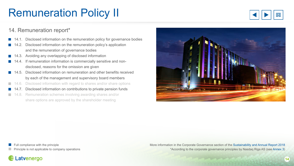### Latvenergo

Full compliance with the principle

Principle is not applicable to company operations

More information in the Corporate Governance section of the [Sustainability and Annual Report 2018](https://www.latvenergo.lv/files/news/LE_sustainability_annual_report_2018.pdf) \*According to the corporate governance principles by Nasdaq Riga AS (see [Annex 3\)](#page-18-0)

# Remuneration Policy II

#### 14. Remuneration report\*

- 14.1. Disclosed information on the remuneration policy for governance bodies
- 14.2. Disclosed information on the remuneration policy's application and the remuneration of governance bodies
- 14.3. Avoiding any overlapping of disclosed information
- 14.4. If remuneration information is commercially sensitive and non disclosed, reasons for the omission are given
- 14.5. Disclosed information on remuneration and other benefits received by each of the management and supervisory board members
- 14.6. Disclosed information with regard to shares and/or share options
- 14.7. Disclosed information on contributions to private pension funds
- 14.8. Remuneration schemes involving awarding shares and/or a s share options are approved by the shareholder meeting



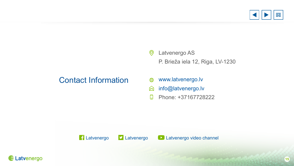

 $\circledcirc$ Latvenergo AS P. Brieža iela 12, Riga, LV-1230

### <span id="page-14-0"></span>Contact Information

- [www.latvenergo.lv](https://www.latvenergo.lv/eng) ⊕
- [info@latvenergo.lv](mailto:info@latvenergo.lv)  $\otimes$
- $\begin{array}{c} \square \end{array}$ Phone: +37167728222





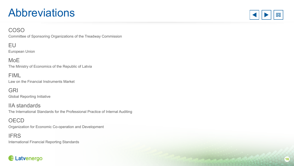# <span id="page-15-0"></span>**Abbreviations**



#### COSO

Committee of Sponsoring Organizations of the Treadway Commission

EU European Union

MoE The Ministry of Economics of the Republic of Latvia

FIML Law on the Financial Instruments Market

GRI Global Reporting Initiative

IIA standards The International Standards for the Professional Practice of Internal Auditing

#### **OECD** Organization for Economic Co-operation and Development

#### IFRS

International Financial Reporting Standards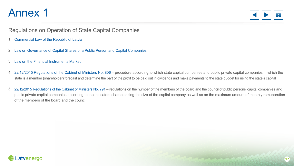

#### <span id="page-16-0"></span>Regulations on Operation of State Capital Companies

- 1. [Commercial Law of the Republic of Latvia](https://likumi.lv/ta/en/en/id/5490-the-commercial-law)
- 2. [Law on Governance of Capital Shares of a Public Person and Capital Companies](https://likumi.lv/ta/en/en/id/269907-law-on-governance-of-capital-shares-of-a-public-person-and-capital-companies)
- 3. [Law on the Financial Instruments Market](https://likumi.lv/ta/id/81995-finansu-instrumentu-tirgus-likums)
- [22/12/2015 Regulations of the Cabinet of Ministers No. 806](https://likumi.lv/ta/id/278921-kartiba-kada-valsts-kapitalsabiedribas-un-publiski-privatas-kapitalsabiedribas-kuras-valsts-ir-dalibnieks-akcionars) procedure according to which state capital companies and public private capital companies in which the state is a member (shareholder) forecast and determine the part of the profit to be paid out in dividends and make payments to the state budget for using the state's capital 4.
- 5. [22/12/2015 Regulations of the Cabinet of Ministers No. 791](https://likumi.lv/ta/id/278904-noteikumi-par-publiskas-personas-kapitalsabiedribu-un-publiski-privato-kapitalsabiedribu-valdes-un-padomes-loceklu-skaitu-atbilstosi)  regulations on the number of the members of the board and the council of public persons' capital companies and public private capital companies according to the indicators characterizing the size of the capital company as well as on the maximum amount of monthly remuneration of the members of the board and the council

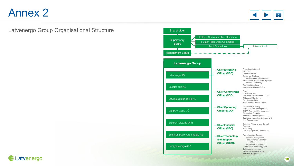

#### <span id="page-17-0"></span>Latvenergo Group Organisational Structure



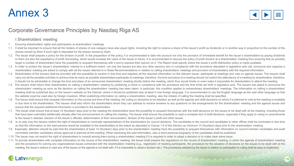

#### <span id="page-18-0"></span>Corporate Governance Principles by Nasdaq Riga AS

I Shareholders' meeting

- 1. Ensuring shareholders' rights and participation at shareholders' meetings
- 1.1. It shall be important to ensure that all the holders of shares of one category have also equal rights, including the right to receive a share of the Issuer's profit as dividends or in another way in proportion to the shares owned by them if such right is stipulated for the shares owned by them.
- 1.2. The Issuer shall prepare a policy for the division of profit. In the preparation of the policy, it is recommended to take into account not only the provision of immediate benefit for the Issuer's shareholders by payin to them but also the expediency of profit reinvesting, which would increase the value of the Issuer in future. It is recommended to discuss the policy of profit division at a shareholders' meeting thus ensuring that as pos larger a number of shareholders have the possibility to acquaint themselves with it and to express their opinion on it. The Report shall specify where the Issuer's profit distribution policy is made available.
- 1.3. In order to protect the Issuer's shareholders' interest to a sufficient extent, not only the Issuers but also any other persons who in compliance with the procedure stipulated in legislative acts call, announce and or shareholders' meeting are asked to comply with all the issues referred to in these Recommendations in relation to calling shareholders' meetings and provision of shareholders with the required information.
- 1.4. Shareholders of the Issuers shall be provided with the possibility to receive in due time and regularly all the required information on the relevant Issuer, participate at meetings and vote on agenda issues. The Issue carry out all the possible activities to achieve that as many as possible shareholders participate at meetings; therefore, the time and place of a meeting should not restrict the attendance of a meeting by shareholders, th it should not be admissible to change the time and place of an announced shareholders' meeting shortly before the meeting, which thus would hinder or even make it impossible for shareholders to attend the meeting.
- 1.5. The Issuers shall inform their shareholders on calling a shareholders' meeting by publishing a notice in compliance with the procedure and the time limits set forth in legislative acts. The Issuers are asked to announ shareholders' meeting as soon as the decision on calling the shareholders' meeting has been taken; in particular, this condition applies to extraordinary shareholders' meetings. The information on calling a shareholders' meeting shall be published also on the Issuer's website on the Internet, where it should be published also at least in one foreign language. It is recommended to use the English language as the said other language so that the website could be used also by foreign investors. When publishing information on calling a shareholders' meeting, also the initiator of calling the meeting shall be specified.
- 1.6. The Issuer shall ensure that compete information on the course and time of the meeting, the voting on decisions to be adopted, as well as the agenda and draft decisions on which it is planned to vote at the meeting is in due time to the shareholders. The Issuers shall also inform the shareholders whom they can address to receive answers to any questions on the arrangements for the shareholders' meeting and the agenda issues and ensure that the required additional information is provided to the shareholders.
- 1.7. The Issuer shall ensure that at least 14 (fourteen) days prior to the meeting the shareholders have the possibility to acquaint themselves with the draft decisions on the issues to be dealt with at the meeting, includ that have been submitted additionally already after the announcement on calling the meeting. The Issuer shall ensure the possibility to read a complete text of draft decisions, especially if they apply to voting on amendme to the Issuer's statutes, election of the Issuer's officials, determination of their remuneration, division of the Issuer's profit and other issues.
- 1.8. In no way may the Issuers restrict the right of shareholders to nominate representatives of the shareholders for council elections. The candidates to the council and candidates to other offices shall be nominated in d so that the information on the said persons would be available to the shareholders to the extent as stipulated in Clause 1.9 of this Section as minimum 14 (fourteen) days prior to the shareholders' meeting.
- 1.9. Especially, attention should be paid that the shareholders at least 14 (fourteen) days prior to the shareholders' meeting have the possibility to acquaint themselves with information on council member candidates and a committee member candidates whose approval is planned at the meeting. When disclosing the said information, also a short personal biography of the candidates shall be published.
- 1.10. The Issuer may not restrict the right of shareholders to consult among them during a shareholders' meeting if it is required in order to adopt a decision or to make clear some issue.
- 1.11. To provide shareholders with complete information on the course of the shareholders' meeting, the Issuer shall prepare the regulations on the course of shareholders' meeting, in which the agenda of shareholders' meet and the procedure for solving any organizational issues connected with the shareholders' meeting (e.g., registration of meeting participants, the procedure for the adoption of decisions on the issues to be dealt with at th meeting, the Issuer's actions in case any of the issues on the agenda is not dealt with, if it is impossible to adopt a decision etc.). The procedures adopted by the Issuer in relation to participation in voting shall be e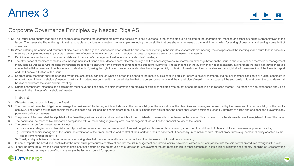

### Corporate Governance Principles by Nasdaq Riga AS

- 1.12. The Issuer shall ensure that during the shareholders' meeting the shareholders have the possibility to ask questions to the candidates to be elected at the shareholders' meeting and other attending representatives of Issuer. The Issuer shall have the right to set reasonable restrictions on questions, for example, excluding the possibility that one shareholder uses up the total time provided for asking of questions and setting a time li speeches.
- 1.13. When entering the course and contents of discussions on the agenda issues to be dealt with at the shareholders' meeting in the minutes of shareholders' meeting, the chairperson of the meeting shall ensure that, in ca meeting participant requires it, particular debates are reflected in the minutes or that shareholder proposal or questions are appended thereto in written form.
- 2. Participation of members and member candidates of the Issuer's management institutions at shareholders' meetings
- 2.1. The attendance of members of the Issuer's management institutions and auditor at shareholders' meetings shall be necessary to ensure information exchange between the Issuer's shareholders and members of management institutions as well as to fulfil the right of shareholders to receive answers from competent persons to the questions submitted. The attendance of the auditor shall not be mandatory at shareholders' meetings at which issu connected with the finances of the Issuer are not dealt with. By using the right to ask questions shareholders have the possibility to obtain information on the circumstances that might affect the evaluation of the financi and the financial situation of the Issuer.
- 2.2. Shareholders' meetings shall be attended by the Issuer's official candidates whose election is planned at the meeting. This shall in particular apply to council members. If a council member candidate or auditor candid unable to attend the shareholders' meeting due to an important reason, then it shall be admissible that this person does not attend the shareholders' meeting. In this case, all the substantial information on the candidate be disclosed before the shareholders' meeting.
- 2.3. During shareholders' meetings, the participants must have the possibility to obtain information on officials or official candidates who do not attend the meeting and reasons thereof. The reason of non-attendance shoul entered in the minutes of shareholders' meeting.

#### II Board

- 3. Obligations and responsibilities of the Board
- 3.1. The board shall have the obligation to manage the business of the Issuer, which includes also the responsibility for the realization of the objectives and strategies determined by the Issuer and the responsibility for achieved. The board shall be responsible for the said to the council and the shareholders' meeting. In fulfilment of its obligations, the board shall adopt decisions guided by interests of all the shareholders and preventi potential conflict of interests.
- 3.2. The powers of the board shall be stipulated in the Board Regulations or a similar document, which is to be published on the website of the Issuer on the Internet. This document must be also available at the registered
- 3.3. The board shall be responsible also for the compliance with all the binding regulatory acts, risk management, as well as the financial activity of the Issuer.
- 3.4. The board shall perform certain tasks, including:
	- 1) Corporate strategies, work plan, risk control procedure, assessment and advancement of annual budget and business plans, ensuring control on the fulfilment of plans and the achievement of planned results;
	- 2) Selection of senior managers of the Issuer, determination of their remuneration and control of their work and their replacement, if necessary, in compliance with internal procedures (e.g. personnel policy adopted by the Issuer, remuneration policy etc.);
	- 3) Timely and qualitative submission of reports, ensuring also that the internal audits are carried out and the disclosure of information is controlled;
- 3.5. In annual reports, the board shall confirm that the internal risk procedures are efficient and that the risk management and internal control have been carried out in compliance with the said control procedures through
- 3.6. It shall be preferable that the board submits decisions that determine the objectives and strategies for achievement thereof (participation in other companies, acquisition or alienation of property, opening of represe offices or branches, expansion of business etc) to the Issuer's council for approval.

**Harry Commercial Commercial**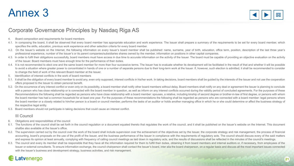

#### Corporate Governance Principles by Nasdaq Riga AS

- 4. Board composition and requirements for board members
- 4.1. In composing the board, it shall be observed that every board member has appropriate education and work experience. The Issuer shall prepare a summary of the requirements to be set for every board member, which specifies the skills, education, previous work experience and other selection criteria for every board member.
- 4.2. On the Issuer's website on the Internet, the following information on every Issuer's board member shall be published: name, surname, year of birth, education, office term, position, description of the last three year' professional experience, number of the Issuer's or its parent companies/subsidiaries shares owned by the member, information on positions in other capital companies.
- 4.3. In order to fulfil their obligations successfully, board members must have access in due time to accurate information on the activity of the Issuer. The board must be capable of providing an objective evaluation on th of the Issuer. Board members must have enough time for the performance of their duties.
- 4.4. It is not recommended to elect one and the same board member for more than four successive terms. The Issuer has to evaluate whether its development will be facilitated in the result of that and whether it will be pos to avoid a situation where greater power is concentrated in hands of one or a number of separate persons due to their long-term work at the Issuer. If, however, such election is admitted, it shall be recommended to consider to change the field of work of the relevant Board member at the Issuer.
- 5. Identification of interest conflicts in the work of board members
- 5.1. It shall be the obligation of every board member to avoid any, even only supposed, interest conflicts in his/her work. In taking decisions, board members shall be guided by the interests of the Issuer and not use the offers proposed to the Issuer to obtain personal benefit.
- 5.2. On the occurrence of any interest conflict or even only on its possibility, a board member shall notify other board members without delay. Board members shall notify on any deal or agreement the Issuer is planning to with a person who has close relationship or is connected with the board member in question, as well as inform on any interest conflicts occurred during the validity period of concluded agreements. For the purposes of these Recommendations the following shall be regarded as persons who have close relationship with a board member: spouses, a relative, including kinship of second degree or brother-in-law of first degree, or persons with whom the board member has had a common household for at least one year. For the purposes of these recommendations the following shall be regarded as persons who are connected with a board member: legal persons where the board member or a closely related to him/her person is a board or council member, performs the tasks of an auditor or holds another managing office in which he or she could determine or affect the business strategy of the respective legal entity.
- 5.3. Board members should not participate in taking decisions that could cause an interest conflict.

#### III Council

- 6. Obligations and responsibilities of the council
- 6.1. The functions of the council shall be set forth in the council regulation or a document equated thereto that regulates the work of the council, and it shall be published on the Issuer's website on the Internet. This d shallbe also available at the Issuer's office.
- 6.2. The supervision carried out by the council over the work of the board shall include supervision over the achievement of the objectives set by the Issuer, the corporate strategy and risk management, the process of fina accounting, board's proposals on the use of the profit of the Issuer, and the business performance of the Issuer in compliance with the requirements of regulatory acts. The council should discuss every of the said matters and express its opinion at least annually, complying with frequency of calling council meetings as laid down in regulatory acts, and the results of discussions shall be reflected in the minutes of the council's meetings.
- 6.3. The council and every its member shall be responsible that they have all the information required for them to fulfill their duties, obtaining it from board members and internal auditors or, if necessary, from employee Issuer or external consultants. To ensure information exchange, the council chairperson shall contact the Issuer's board, inter alia the board chairperson, on a regular basis and discuss all the most important issues conne with the Issuer's business and development strategy, business activities, and risk management.

**Longitude Commercial Commercial Commercial Commercial Commercial Commercial Commercial Commercial Commercial Commercial Commercial Commercial Commercial Commercial Commercial Commercial Commercial Commercial Commercial Co**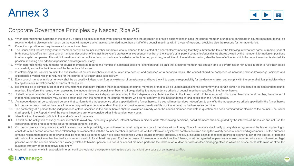

### Corporate Governance Principles by Nasdaq Riga AS

- 6.4. When determining the functions of the council, it should be stipulated that every council member has the obligation to provide explanations in case the council member is unable to participate in council meetings. It s recommended to disclose information on the council members who have not attended more than a half of the council meetings within a year of reporting, providing also the reasons for non-attendance.
- 7. Council composition and requirements for council members
- 7.1. The Issuer shall require every council member as well as council member candidate who is planned to be elected at a shareholders' meeting that they submit to the Issuer the following information: name, surname, year of birth, education, office term as a council member, description of the last three year's professional experience, number of the Issuer's or its parent companies/subsidiaries shares owned by the member, information on positi in other capital companies. The said information shall be published also on the Issuer's website on the Internet, providing, in addition to the said information, also the term of office for which the council member is elec position, including also additional positions and obligations, if any.
- 7.2. When determining the requirements for council members as regards the number of additional positions, attention shall be paid that a council member has enough time to perform his or her duties in order to fulfil their successfully and act in the interests of the Issuer to a full extent.
- 7.3. In establishing the Issuer's council, the qualification of council members should be taken into account and assessed on a periodical basis. The council should be composed of individuals whose knowledge, opinions and experience is varied, which is required for the council to fulfil their tasks successfully.
- 7.4. Every council member in his or her work shall be as possibly independent from any external circumstances and have the will to assume responsibility for the decisions taken and comply with the general ethical principle taking decisions in relation to the business of the Issuer.
- 7.5. It is impossible to compile a list of all the circumstances that might threaten the independence of council members or that could be used in assessing the conformity of a certain person to the status of an independent member. Therefore, the Issuer, when assessing the independence of council members, shall be guided by the independence criteria of council members specified in the Annex hereto.
- 7.6. It shall be recommended that at least a half of council members are independent according to the independence criteria specified in the Annex hereto. If the number of council members is an odd number, the number of independent council members may be one person less than the number of the council members who do not conform to the independence criteria specified in the Annex hereto.
- 7.7. As independent shall be considered persons that conform to the independence criteria specified in the Annex hereto. If a council member does not conform to any of to the independence criteria specified in the Annex he but the Issuer does consider the council member in question to be independent, then it shall provide an explanation of its opinion in detail on the tolerances permitted.
- 7.8. The conformity of a person to the independence criteria specified in the Annex hereto shall be evaluated already when the council member candidate in question has been nominated for election to the council. The Issuer shall specify in the Report who of the council members are to be considered as independent every year.
- 8. Identification of interest conflicts in the work of council members
- 8.1. It shall be the obligation of every council member to avoid any, even only supposed, interest conflicts in his/her work. When taking decisions, board members shall be guided by the interests of the Issuer and not use cooperation offers proposed to the Issuer to obtain personal benefit.
- 8.2. On the occurrence of any interest conflict or even only on its possibility, a council member shall notify other council members without delay. Council members shall notify on any deal or agreement the Issuer is planni conclude with a person who has close relationship or is connected with the council member in question, as well as inform on any interest conflicts occurred during the validity period of concluded agreements. For the purposes of these recommendations the following shall be regarded as persons who have close relationship with a council member: spouses, a relative, including kinship of second degree or brother-in-law of first degree, or persons with whom the council member has had a common household for at least one year. For the purposes of these recommendations the following shall be regarded as persons who are connected with a council member: legal persons where the council member or a closely related to him/her person is a board or council member, performs the tasks of an auditor or holds another managing office in which he or she could determine or affect the business strategy of the respective legal entity.
- 8.3. A council member who is in a possible interest conflict should not participate in taking decisions that might be a cause of an interest conflict.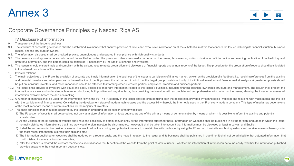

### Corporate Governance Principles by Nasdaq Riga AS

IV Disclosure of information

9. Transparency of the Issuer's business

- 9.1. The structure of corporate governance shall be established in a manner that ensures provision of timely and exhaustive information on all the substantial matters that concern the Issuer, including its financial situat results, and the structure of owners.
- 9.2. The information disclosed shall be checked, precise, unambiguous and prepared in compliance with high-quality standards.
- 9.3. The Issuers should appoint a person who would be entitled to contact the press and other mass media on behalf on the Issuer, thus ensuring uniform distribution of information and evading publication of contradictory a untruthful information, and this person could be contacted, if necessary, by the Stock Exchange and investors.
- 9.4. The Issuers should ensure timely and compliant with the existing requirements preparation and disclosure of financial reports and annual reports of the Issuer. The procedure for the preparation of reports should be st in the internal procedures of the Issuer.
- 10. Investor relations
- 10.1. The main objectives of the IR are the provision of accurate and timely information on the business of the Issuer to participants of finance market, as well as the provision of a feedback, i.e. receiving references fr and potential investors and other persons. In the realization of the IR process, it shall be born in mind that the target group consists not only of institutional investors and finance market analysts. A greater emphasis s be put on individual investors, and more importance should be attached to informing other interested parties: employees, creditors and business partners.
- 10.2. The Issuer shall provide all investors with equal and easily accessible important information related to the Issuer's business, including financial position, ownership structure and management. The Issuer shall prese information in a clear and understandable manner, disclosing both positive and negative facts, thus providing the investors with a complete and comprehensive information on the Issuer, allowing the investor to assess all information available before the decision making.
- 10.3. A number of channels shall be used for the information flow in the IR. The IR strategy of the Issuer shall be created using both the possibilities provided by technologies (website) and relations with mass media and with the participants of finance market. Considering the development stage of modern technologies and the accessibility thereof, the Internet is used in the IR of every modern company. This type of media has become one of the most important means of communications for the majority of investors.
- 10.4. The basic principles that should be observed by the Issuers in preparing the IR section of their websites:
	- 1) The IR section of website shall be perceived not only as a store of information or facts but also as one of the primary means of communication by means of which it is possible to inform the existing and potential shareholders;
	- 2) All the visitors of the IR section of website shall have the possibility to obtain conveniently all the information published there. Information on websites shall be published in all the foreign languages in which the I normally distributes information so that in no way would foreign investors be discriminated, however, it shall be taken into account that information must be disclosed at least in Latvian and English;
	- 3) It shall be recommended to consider a solution that would allow the existing and potential investors to maintain ties with the Issuer by using the IR section of website submit questions and receive answers thereto, or the most recent information, express their opinions etc.;
	- 4) The information published on websites shall be updated on a regular basis, and the news in relation to the Issuer and its business shall be published in due time. It shall not be admissible that outdated information that could mislead investors is found on websites;
	- 5) After the website is created the creators themselves should assess the IR section of the website from the point of view of users whether the information of interest can be found easily, whether the information published provides answers to the most important questions etc.

Promocenter in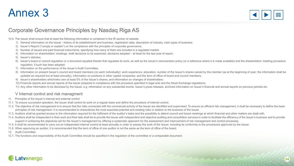

#### Corporate Governance Principles by Nasdaq Riga AS

10.5. The Issuer shall ensure that at least the following information is contained in the IR section of website:

- 1) General information on the Issuer history of its establishment and business, registration data, description of industry, main types of business;
- 2) Issuer's Report ("comply or explain") on the compliance with the principles of corporate governance;
- 3) Number of issued and paid financial instruments, specifying how many of them are included in a regulated market;
- 4) Information on shareholders' meetings, draft decisions to be examined, decisions adopted at least for the last year of report;
- 5) Issuer's statutes;
- 6) Issuer's board or council regulation or a document equated thereto that regulates its work, as well as the Issuer's remuneration policy (or a reference where it is made available) and the shareholders' meeting procedure regulation, if such has been adopted;
- 7) Information on the performance of the Issuer's Audit Committee;
- 8) Information on present Issuer's council and board members (on each individually): work experience, education, number of the Issuer's shares owned by the member (as at the beginning of year; the information shall be updated as required but at least annually), information on positions in other capital companies, and the term of office of board and council members;
- 9) Issuer's shareholders which/who own at least 5% of the Issuer's shares; and information on changes of shareholders;
- 10) Financial reports and annual reports of the Issuer prepared in compliance with the procedure specified in legal acts and the Stock Exchange regulations;
- 11) Any other information to be disclosed by the Issuer, e.g. information on any substantial events, Issuer's press releases, archived information on Issuer's financial and annual reports on previous periods etc.

#### V Internal control and risk managment

- 11. Principles of the Issuer's internal and external control
- 11.1. To ensure successful operation, the Issuer shall control its work on a regular basis and define the procedure of internal control.
- 11.2. The objective of risk management is to ensure that the risks connected with the commercial activity of the Issuer are identified and supervised. To ensure an efficient risk management, it shall be necessary to define principles of risk management. It is recommended to characterize the most essential potential and existing risks in relation to the business of the Issuer.
- 11.3. Auditors shall be granted access to the information required for the fulfilment of the auditor's tasks and the possibility to attend council and board meetings at which financial and other matters are dealt with.
- 11.4. Auditors shall be independent in their work and their task shall be to provide the Issuer with independent and objective auditing and consultation services in order to facilitate the efficiency of the Issuer's busine support in achieving the objectives set for the Issuer's management by offering a systematic approach for the assessment and improvement of risk management and control processes.

**Communication** 

- 11.5. It shall be recommended to carry out an independent internal control at least annually in order to assess the work of the Issuer, including its conformity to the procedures approved by the Issuer.
- 11.6. When approving an auditor, it is recommended that the term of office of one auditor is not the same as the term of office of the board.
- 12. Audit Committee
- 12.1. The functions and responsibility of the Audit Committee should be specified in the regulation of the committee or a comparable document.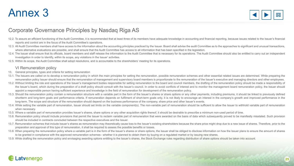

#### Corporate Governance Principles by Nasdaq Riga AS

- 12.2. To assure an efficient functioning of the Audit Committee, it is recommended that at least three of its members have adequate knowledge in accounting and financial reporting, because issues related to the Issuer's fi reports and control are in the focus of the Audit Committee's operations.
- 12.3. All Audit Committee members shall have access to the information about the accounting principles practiced by the Issuer. Board shall advise the audit Committee as to the approaches to significant and unusual transac where alternative evaluations are possible, and shall ensure that the Audit Committee has access to all information that has been specified in the legislation.
- 12.4. The Issuer shall ensure that its officials, board members and staff release the information to the Audit Committee that is necessary for its operations. The Audit Committee should also be entitled to carry out an ind investigation in order to identify, within its scope, any violations in the Issuer' activities.
- 12.5. Within its scope, the Audit Committee shall adopt resolutions, and is accountable to the shareholders' meeting for its operations.

#### VI Remuneration policy

- 13. General principles, types and criteria for setting remuneration
- 13.1. The Issuers are called on to develop a remuneration policy in which the main principles for setting the remuneration, possible remuneration schemes and other essential related issues are determined. While preparing the remuneration policy Issuer should ensure that the remuneration of management and supervisory board members is proportionate to the remuneration of the Issuer's executive and managing directors and other employees.
- 13.2. Without limiting the role and operations of the Issuer's management bodies responsible for setting remuneration to the board and council members, the drafting of the remuneration policy should be made a responsibilit the Issuer's board, which during the preparation of a draft policy should consult with the Issuer's council. In order to avoid conflicts of interest and to monitor the management board remuneration policy, the Issuer should appoint a responsible person having sufficient experience and knowledge in the field of remuneration for development of the remuneration policy.
- 13.3. Should the remuneration policy contain a remuneration structure with a variable part in the form of the Issuer's shares or share options or any other payments, including premiums, it should be linked to previously de shortterm and long-term goals and performance criteria. If remuneration depends on fulfilment of short-term goals only, it is not likely to encourage an interest in the company's growth and improved performance in the long-term. The scope and structure of the remuneration should depend on the business performance of the company, share price and other Issuer's events.
- 13.4. While setting the variable part of remuneration, Issuer should set limits on the variable component(s). The non-variable part of remuneration should be sufficient to allow the Issuer to withhold variable part of remu when necessary.
- 13.5. Where a variable part of remuneration provides Issuer's shares, share options or any other acquisition rights thereof, it should be desirable to prescribe a minimum non-used period of time.
- 13.6. Remuneration policy should include provisions that permit the Issuer to reclaim variable part of remuneration that were awarded on the basis of data which subsequently proved to be manifestly misstated. Such provisio should be included in contracts concluded between the respective executives and the Issuer.
- 13.7. Remuneration schemes that include Issuer's shares as remuneration may theoretically cause loss to the Issuer's existing shareholders because the share price might drop due to a new issue of shares. Therefore, prior t preparation and approval of this type of remuneration, it shall be required to assess the possible benefits or losses.
- 13.8. When preparing the remuneration policy where a variable part is in the form of the Issuer's shares or share options, the Issuer shall be obliged to disclose information on how the Issuer plans to ensure the amount of to be granted in compliance with the approved remuneration schemes– whether it is planned to obtain them by buying on a regulated market or by issuing new shares.

the morning

13.9. While drafting the remuneration policy and envisaging awarding options entitling to the Issuer's shares, the Stock Exchange rules regarding distribution of share options should be taken into account.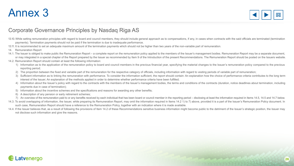

### Corporate Governance Principles by Nasdaq Riga AS

- 13.10. While setting remuneration principles with regard to board and council members, they should include general approach as to compensations, if any, in cases when contracts with the said officials are terminated (termi payments). Termination payments should not be paid if the termination is due to inadequate performance.
- 13.11. It is recommended to set an adequate maximum amount of the termination payments which should not be higher than two years of the non-variable part of remuneration.
- 14. Remuneration Report
- 14.1. The Issuer is obliged to make public the Remuneration Report a complete report on the remuneration policy applied to the members of the Issuer's management bodies. Remuneration Report may be a separate document, or may integrated in a special chapter of the Report prepared by the Issuer as recommended by Item 9 of the Introduction of the present Recommendations. The Remuneration Report should be posted on the Issuers website.
- 14.2. Remuneration Report should contain at least the following information:
	- 1) Information as to the application of the remuneration policy to board and council members in the previous financial year, specifying the material changes to the Issuer's remuneration policy compared to the previous reporting period;
	- 2) The proportion between the fixed and variable part of the remuneration for the respective category of officials, including information with regard to vesting periods of variable part of remuneration;
	- 3) Sufficient information as to linking the remuneration with performance. To consider the information sufficient, the report should contain: An explanation how the choice of performance criteria contributes to the long te interest of the Issuer; An explanation of the methods applied in order to determine whether performance criteria have been fulfilled;
	- 4) Information about the Issuer's policy with regard to the contracts with the members of the Issuer's management bodies, the terms and conditions of the contracts (duration, notice deadlines about termination, including payments due in case of termination);
	- 5) Information about the incentive schemes and the specifications and reasons for awarding any other benefits;
	- 6) A description of any pension or early retirement schemes;
	- 7) An overview of the remuneration paid to or any benefits received by each individual that has been board or council member in the reporting period disclosing at least the information required in Items 14.5, 14.5 and 14

Personnell

- 14.3. To avoid overlapping of information, the Issuer, while preparing its Remuneration Report, may omit the information required in Items 14.2 1) to 7) above, provided it is a part of the Issuer's Remuneration Policy docu such case, Remuneration Report should have a reference to the Remuneration Policy, together with an indication where it is made available.
- 14.4. If the Issuer believes that, as a result of following the provisions of Item 14.2 of these Recommendations sensitive business information might become public to the detriment of the Issuer's strategic position, the I not disclose such information and give the reasons.